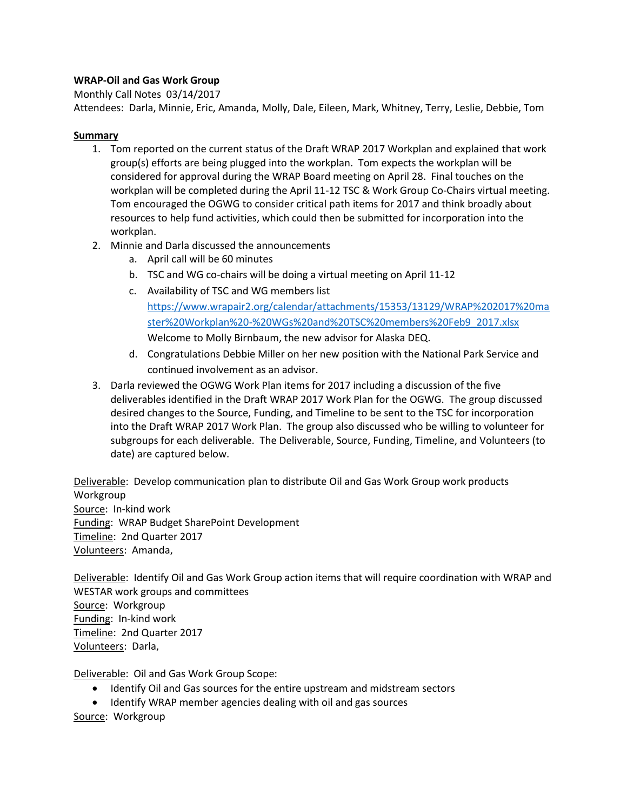## **WRAP-Oil and Gas Work Group**

Monthly Call Notes 03/14/2017

Attendees: Darla, Minnie, Eric, Amanda, Molly, Dale, Eileen, Mark, Whitney, Terry, Leslie, Debbie, Tom

## **Summary**

- 1. Tom reported on the current status of the Draft WRAP 2017 Workplan and explained that work group(s) efforts are being plugged into the workplan. Tom expects the workplan will be considered for approval during the WRAP Board meeting on April 28. Final touches on the workplan will be completed during the April 11-12 TSC & Work Group Co-Chairs virtual meeting. Tom encouraged the OGWG to consider critical path items for 2017 and think broadly about resources to help fund activities, which could then be submitted for incorporation into the workplan.
- 2. Minnie and Darla discussed the announcements
	- a. April call will be 60 minutes
	- b. TSC and WG co-chairs will be doing a virtual meeting on April 11-12
	- c. Availability of TSC and WG members list [https://www.wrapair2.org/calendar/attachments/15353/13129/WRAP%202017%20ma](https://www.wrapair2.org/calendar/attachments/15353/13129/WRAP%202017%20master%20Workplan%20-%20WGs%20and%20TSC%20members%20Feb9_2017.xlsx) [ster%20Workplan%20-%20WGs%20and%20TSC%20members%20Feb9\\_2017.xlsx](https://www.wrapair2.org/calendar/attachments/15353/13129/WRAP%202017%20master%20Workplan%20-%20WGs%20and%20TSC%20members%20Feb9_2017.xlsx) Welcome to Molly Birnbaum, the new advisor for Alaska DEQ.
	- d. Congratulations Debbie Miller on her new position with the National Park Service and continued involvement as an advisor.
- 3. Darla reviewed the OGWG Work Plan items for 2017 including a discussion of the five deliverables identified in the Draft WRAP 2017 Work Plan for the OGWG. The group discussed desired changes to the Source, Funding, and Timeline to be sent to the TSC for incorporation into the Draft WRAP 2017 Work Plan. The group also discussed who be willing to volunteer for subgroups for each deliverable. The Deliverable, Source, Funding, Timeline, and Volunteers (to date) are captured below.

Deliverable: Develop communication plan to distribute Oil and Gas Work Group work products Workgroup Source: In-kind work Funding: WRAP Budget SharePoint Development Timeline: 2nd Quarter 2017 Volunteers: Amanda,

Deliverable: Identify Oil and Gas Work Group action items that will require coordination with WRAP and WESTAR work groups and committees Source: Workgroup Funding: In-kind work Timeline: 2nd Quarter 2017 Volunteers: Darla,

Deliverable: Oil and Gas Work Group Scope:

- Identify Oil and Gas sources for the entire upstream and midstream sectors
- Identify WRAP member agencies dealing with oil and gas sources
- Source: Workgroup